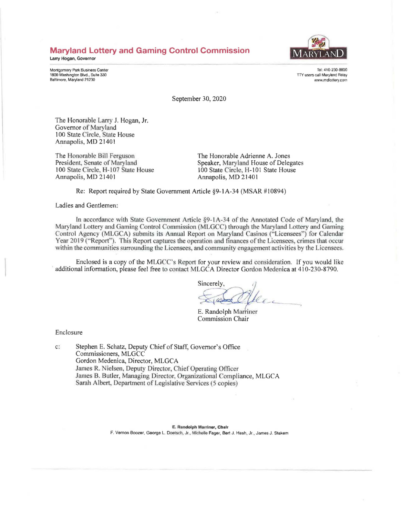# **Maryland Lottery and Gaming Control Commission**

**Latry Hogan, Governor** 

Montgomery Park Business Center 1800 Washington Blvd., Suite 330 Baltimore, Maryland 21230



Tel: 410-230-8800 TTY users call Maryland Relay www.mdlottery com

September 30, 2020

The Honorable Larry J. Hogan, Jr. Governor of Maryland 100 State Circle, State House Annapolis, MD 21401

The Honorable Bill Ferguson President. Senate of Maryland 100 State Circle, H-107 State House Annapolis, MD 21401

The Honorable Adrienne A, Jones Speaker, Maryland House of Delegates 100 State Circle, H-101 State House Annapolis, MD 2140 I

Re: Report required by State Government Article §9-IA-34 (MSAR #10894)

Ladies and Gentlemen:

In accordance with State Government Article §9-1A-34 of the Annotated Code of Maryland, the Maryland Lottery and Gaming Control Commission (MLGCC) through the Maryland Lottery and Gaming Control Agency (MLGCA) submits its Annual Report on Maryland Casinos ("Licensees") for Calendar Year 2019 ("Report"). This Report captures the operation and finances of the Licensees, crimes that occur within the communities surrounding the Licensees, and community engagement activities by the Licensees.

Enclosed is a copy of the MLGCC's Report for your review and consideration. If you would like additional information, please feel free to contact MLGCA Director Gordon Medenica at 410-230-8790.

Sincerely, -.

E. Randolph Marriner **Commission Chair** 

Enclosure

c: Stephen E. Schatz, Deputy Chief of Staff, Governor's Office Commissioners, MLGCC Gordon Medenica, Director, MLGCA James R. Nielsen, Deputy Director, Chief Operating Officer James B. Butler, Managing Director, Organizational Compliance, MLGCA Sarah Albert, Department of Legislative Services (5 copies)

> E. **Randolph Marriner, Chair**  F. Vernon Boozer, George L. Doetsch, Jr .. Michelle Feger, Bert J. Hash, Jr., James J. Stakem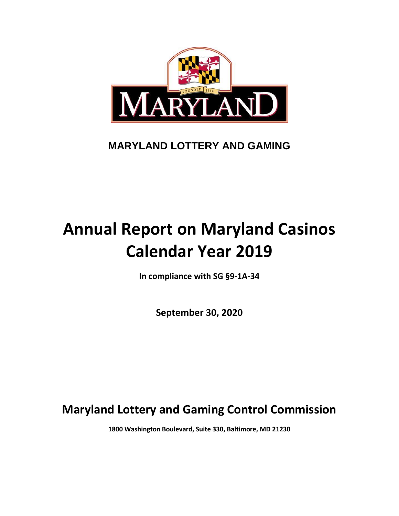

# **MARYLAND LOTTERY AND GAMING**

# **Annual Report on Maryland Casinos Calendar Year 2019**

**In compliance with SG §9-1A-34**

**September 30, 2020**

**Maryland Lottery and Gaming Control Commission**

**1800 Washington Boulevard, Suite 330, Baltimore, MD 21230**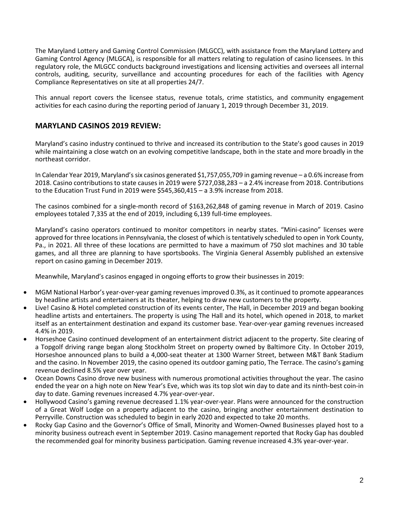The Maryland Lottery and Gaming Control Commission (MLGCC), with assistance from the Maryland Lottery and Gaming Control Agency (MLGCA), is responsible for all matters relating to regulation of casino licensees. In this regulatory role, the MLGCC conducts background investigations and licensing activities and oversees all internal controls, auditing, security, surveillance and accounting procedures for each of the facilities with Agency Compliance Representatives on site at all properties 24/7.

This annual report covers the licensee status, revenue totals, crime statistics, and community engagement activities for each casino during the reporting period of January 1, 2019 through December 31, 2019.

# **MARYLAND CASINOS 2019 REVIEW:**

Maryland's casino industry continued to thrive and increased its contribution to the State's good causes in 2019 while maintaining a close watch on an evolving competitive landscape, both in the state and more broadly in the northeast corridor.

In Calendar Year 2019, Maryland's six casinos generated \$1,757,055,709 in gaming revenue – a 0.6% increase from 2018. Casino contributions to state causes in 2019 were \$727,038,283 – a 2.4% increase from 2018. Contributions to the Education Trust Fund in 2019 were \$545,360,415 – a 3.9% increase from 2018.

The casinos combined for a single-month record of \$163,262,848 of gaming revenue in March of 2019. Casino employees totaled 7,335 at the end of 2019, including 6,139 full-time employees.

Maryland's casino operators continued to monitor competitors in nearby states. "Mini-casino" licenses were approved for three locations in Pennsylvania, the closest of which is tentatively scheduled to open in York County, Pa., in 2021. All three of these locations are permitted to have a maximum of 750 slot machines and 30 table games, and all three are planning to have sportsbooks. The Virginia General Assembly published an extensive report on casino gaming in December 2019.

Meanwhile, Maryland's casinos engaged in ongoing efforts to grow their businesses in 2019:

- MGM National Harbor's year-over-year gaming revenues improved 0.3%, as it continued to promote appearances by headline artists and entertainers at its theater, helping to draw new customers to the property.
- Live! Casino & Hotel completed construction of its events center, The Hall, in December 2019 and began booking headline artists and entertainers. The property is using The Hall and its hotel, which opened in 2018, to market itself as an entertainment destination and expand its customer base. Year-over-year gaming revenues increased 4.4% in 2019.
- Horseshoe Casino continued development of an entertainment district adjacent to the property. Site clearing of a Topgolf driving range began along Stockholm Street on property owned by Baltimore City. In October 2019, Horseshoe announced plans to build a 4,000-seat theater at 1300 Warner Street, between M&T Bank Stadium and the casino. In November 2019, the casino opened its outdoor gaming patio, The Terrace. The casino's gaming revenue declined 8.5% year over year.
- Ocean Downs Casino drove new business with numerous promotional activities throughout the year. The casino ended the year on a high note on New Year's Eve, which was its top slot win day to date and its ninth-best coin-in day to date. Gaming revenues increased 4.7% year-over-year.
- Hollywood Casino's gaming revenue decreased 1.1% year-over-year. Plans were announced for the construction of a Great Wolf Lodge on a property adjacent to the casino, bringing another entertainment destination to Perryville. Construction was scheduled to begin in early 2020 and expected to take 20 months.
- Rocky Gap Casino and the Governor's Office of Small, Minority and Women-Owned Businesses played host to a minority business outreach event in September 2019. Casino management reported that Rocky Gap has doubled the recommended goal for minority business participation. Gaming revenue increased 4.3% year-over-year.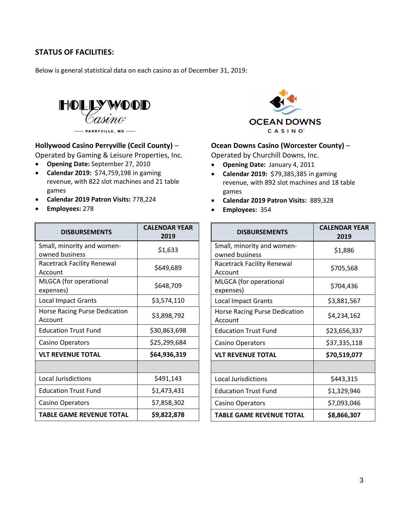# **STATUS OF FACILITIES:**

Below is general statistical data on each casino as of December 31, 2019:



#### **Hollywood Casino Perryville (Cecil County)** –

Operated by Gaming & Leisure Properties, Inc.

- **Opening Date:** September 27, 2010
- **Calendar 2019:** \$74,759,198 in gaming revenue, with 822 slot machines and 21 table games
- **Calendar 2019 Patron Visits:** 778,224
- **Employees:** 278

| <b>DISBURSEMENTS</b>                            | <b>CALENDAR YEAR</b><br>2019 |  |  |  |
|-------------------------------------------------|------------------------------|--|--|--|
| Small, minority and women-<br>owned business    | \$1,633                      |  |  |  |
| <b>Racetrack Facility Renewal</b><br>Account    | \$649,689                    |  |  |  |
| MLGCA (for operational<br>expenses)             | \$648,709                    |  |  |  |
| <b>Local Impact Grants</b>                      | \$3,574,110                  |  |  |  |
| <b>Horse Racing Purse Dedication</b><br>Account | \$3,898,792                  |  |  |  |
| <b>Education Trust Fund</b>                     | \$30,863,698                 |  |  |  |
| <b>Casino Operators</b>                         | \$25,299,684                 |  |  |  |
| <b>VLT REVENUE TOTAL</b>                        | \$64,936,319                 |  |  |  |
|                                                 |                              |  |  |  |
| <b>Local Jurisdictions</b>                      | \$491,143                    |  |  |  |
| <b>Education Trust Fund</b>                     | \$1,473,431                  |  |  |  |
| <b>Casino Operators</b>                         | \$7,858,302                  |  |  |  |
| TABLE GAME REVENUE TOTAL                        | \$9,822,878                  |  |  |  |



#### **Ocean Downs Casino (Worcester County)** –

Operated by Churchill Downs, Inc.

- **Opening Date:** January 4, 2011
- **Calendar 2019:** \$79,385,385 in gaming revenue, with 892 slot machines and 18 table games
- **Calendar 2019 Patron Visits:** 889,328
- **Employees:** 354

| <b>DISBURSEMENTS</b>                            | <b>CALENDAR YEAR</b><br>2019 |  |  |  |
|-------------------------------------------------|------------------------------|--|--|--|
| Small, minority and women-<br>owned business    | \$1,886                      |  |  |  |
| <b>Racetrack Facility Renewal</b><br>Account    | \$705,568                    |  |  |  |
| MLGCA (for operational<br>expenses)             | \$704,436                    |  |  |  |
| <b>Local Impact Grants</b>                      | \$3,881,567                  |  |  |  |
| <b>Horse Racing Purse Dedication</b><br>Account | \$4,234,162                  |  |  |  |
| <b>Education Trust Fund</b>                     | \$23,656,337                 |  |  |  |
| Casino Operators                                | \$37,335,118                 |  |  |  |
| <b>VLT REVENUE TOTAL</b>                        | \$70,519,077                 |  |  |  |
|                                                 |                              |  |  |  |
| <b>Local Jurisdictions</b>                      | \$443,315                    |  |  |  |
| <b>Education Trust Fund</b>                     | \$1,329,946                  |  |  |  |
| Casino Operators                                | \$7,093,046                  |  |  |  |
| <b>TABLE GAME REVENUE TOTAL</b>                 | \$8,866,307                  |  |  |  |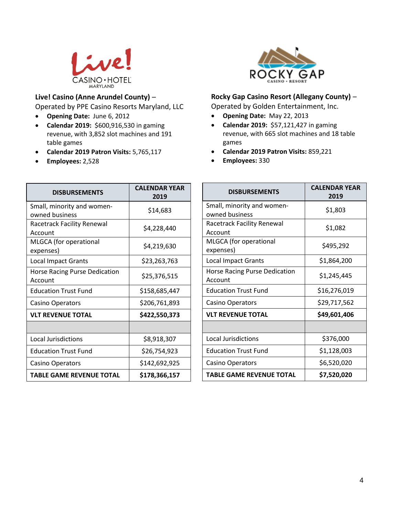

# **Live! Casino (Anne Arundel County)** –

Operated by PPE Casino Resorts Maryland, LLC

- **Opening Date:** June 6, 2012
- **Calendar 2019:** \$600,916,530 in gaming revenue, with 3,852 slot machines and 191 table games
- **Calendar 2019 Patron Visits:** 5,765,117
- **Employees:** 2,528



# **Rocky Gap Casino Resort (Allegany County)** –

Operated by Golden Entertainment, Inc.

- **Opening Date:** May 22, 2013
- **Calendar 2019:** \$57,121,427 in gaming revenue, with 665 slot machines and 18 table games
- **Calendar 2019 Patron Visits:** 859,221
- **Employees:** 330

| <b>DISBURSEMENTS</b>                         | <b>CALENDAR YEAR</b><br>2019 |  |  |  |
|----------------------------------------------|------------------------------|--|--|--|
| Small, minority and women-<br>owned business | \$14,683                     |  |  |  |
| Racetrack Facility Renewal<br>Account        | \$4,228,440                  |  |  |  |
| MLGCA (for operational<br>expenses)          | \$4,219,630                  |  |  |  |
| <b>Local Impact Grants</b>                   | \$23,263,763                 |  |  |  |
| Horse Racing Purse Dedication<br>Account     | \$25,376,515                 |  |  |  |
| <b>Education Trust Fund</b>                  | \$158,685,447                |  |  |  |
| Casino Operators                             | \$206,761,893                |  |  |  |
| <b>VLT REVENUE TOTAL</b>                     | \$422,550,373                |  |  |  |
|                                              |                              |  |  |  |
| <b>Local Jurisdictions</b>                   | \$8,918,307                  |  |  |  |
| <b>Education Trust Fund</b>                  | \$26,754,923                 |  |  |  |
| <b>Casino Operators</b>                      | \$142,692,925                |  |  |  |
| <b>TABLE GAME REVENUE TOTAL</b>              | \$178,366,157                |  |  |  |

| <b>DISBURSEMENTS</b>                            | <b>CALFNDAR YFAR</b><br>2019 |  |  |  |
|-------------------------------------------------|------------------------------|--|--|--|
| Small, minority and women-<br>owned business    | \$1,803                      |  |  |  |
| <b>Racetrack Facility Renewal</b><br>Account    | \$1,082                      |  |  |  |
| MLGCA (for operational<br>expenses)             | \$495,292                    |  |  |  |
| <b>Local Impact Grants</b>                      | \$1,864,200                  |  |  |  |
| <b>Horse Racing Purse Dedication</b><br>Account | \$1,245,445                  |  |  |  |
| <b>Education Trust Fund</b>                     | \$16,276,019                 |  |  |  |
| <b>Casino Operators</b>                         | \$29,717,562                 |  |  |  |
| <b>VLT REVENUE TOTAL</b>                        | \$49,601,406                 |  |  |  |
|                                                 |                              |  |  |  |
| <b>Local Jurisdictions</b>                      | \$376,000                    |  |  |  |
| <b>Education Trust Fund</b>                     | \$1,128,003                  |  |  |  |
| Casino Operators                                | \$6,520,020                  |  |  |  |
| <b>TABLE GAME REVENUE TOTAL</b>                 | \$7,520,020                  |  |  |  |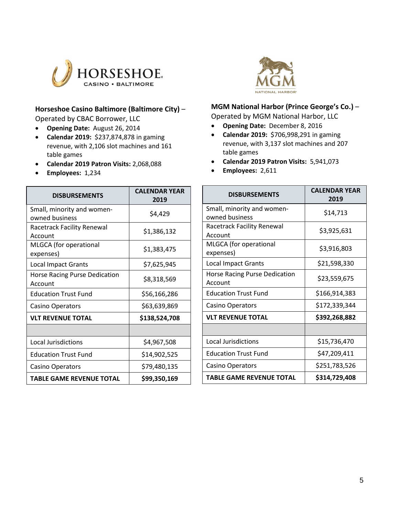

# **Horseshoe Casino Baltimore (Baltimore City)** –

Operated by CBAC Borrower, LLC

- **Opening Date:** August 26, 2014
- **Calendar 2019:** \$237,874,878 in gaming revenue, with 2,106 slot machines and 161 table games
- **Calendar 2019 Patron Visits:** 2,068,088
- **Employees:** 1,234



#### **MGM National Harbor (Prince George's Co.)** – Operated by MGM National Harbor, LLC

- 
- **Opening Date:** December 8, 2016
- **Calendar 2019:** \$706,998,291 in gaming revenue, with 3,137 slot machines and 207 table games
- **Calendar 2019 Patron Visits:** 5,941,073
- **Employees:** 2,611

| <b>DISBURSEMENTS</b>                         | <b>CALENDAR YEAR</b><br>2019 |  |  |  |
|----------------------------------------------|------------------------------|--|--|--|
| Small, minority and women-<br>owned business | \$4,429                      |  |  |  |
| Racetrack Facility Renewal<br>Account        | \$1,386,132                  |  |  |  |
| MLGCA (for operational<br>expenses)          | \$1,383,475                  |  |  |  |
| <b>Local Impact Grants</b>                   | \$7,625,945                  |  |  |  |
| Horse Racing Purse Dedication<br>Account     | \$8,318,569                  |  |  |  |
| <b>Education Trust Fund</b>                  | \$56,166,286                 |  |  |  |
| <b>Casino Operators</b>                      | \$63,639,869                 |  |  |  |
| <b>VLT REVENUE TOTAL</b>                     | \$138,524,708                |  |  |  |
|                                              |                              |  |  |  |
| <b>Local Jurisdictions</b>                   | \$4,967,508                  |  |  |  |
| <b>Education Trust Fund</b>                  | \$14,902,525                 |  |  |  |
| <b>Casino Operators</b>                      | \$79,480,135                 |  |  |  |
| TABLE GAME REVENUE TOTAL                     | \$99,350,169                 |  |  |  |

| <b>DISBURSEMENTS</b>                         | <b>CALENDAR YEAR</b><br>2019 |  |  |  |  |
|----------------------------------------------|------------------------------|--|--|--|--|
| Small, minority and women-<br>owned business | \$14,713                     |  |  |  |  |
| <b>Racetrack Facility Renewal</b><br>Account | \$3,925,631                  |  |  |  |  |
| MLGCA (for operational<br>expenses)          | \$3,916,803                  |  |  |  |  |
| <b>Local Impact Grants</b>                   | \$21,598,330                 |  |  |  |  |
| Horse Racing Purse Dedication<br>Account     | \$23,559,675                 |  |  |  |  |
| <b>Education Trust Fund</b>                  | \$166,914,383                |  |  |  |  |
| <b>Casino Operators</b>                      | \$172,339,344                |  |  |  |  |
| <b>VLT REVENUE TOTAL</b>                     | \$392,268,882                |  |  |  |  |
|                                              |                              |  |  |  |  |
| <b>Local Jurisdictions</b>                   | \$15,736,470                 |  |  |  |  |
| <b>Education Trust Fund</b>                  | \$47,209,411                 |  |  |  |  |
| Casino Operators                             | \$251,783,526                |  |  |  |  |
| <b>TABLE GAME REVENUE TOTAL</b>              | \$314,729,408                |  |  |  |  |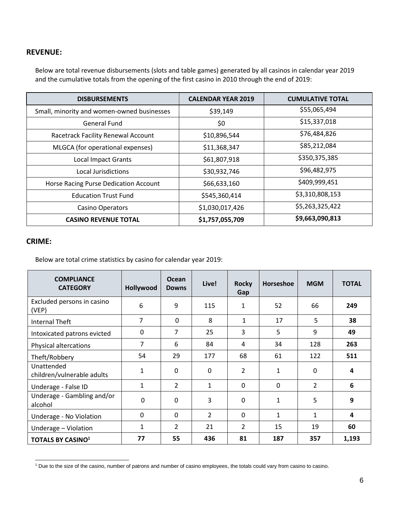# **REVENUE:**

Below are total revenue disbursements (slots and table games) generated by all casinos in calendar year 2019 and the cumulative totals from the opening of the first casino in 2010 through the end of 2019:

| <b>DISBURSEMENTS</b>                       | <b>CALENDAR YEAR 2019</b> | <b>CUMULATIVE TOTAL</b> |
|--------------------------------------------|---------------------------|-------------------------|
| Small, minority and women-owned businesses | \$39,149                  | \$55,065,494            |
| General Fund                               | \$0                       | \$15,337,018            |
| Racetrack Facility Renewal Account         | \$10,896,544              | \$76,484,826            |
| MLGCA (for operational expenses)           | \$11,368,347              | \$85,212,084            |
| <b>Local Impact Grants</b>                 | \$61,807,918              | \$350,375,385           |
| Local Jurisdictions                        | \$30,932,746              | \$96,482,975            |
| Horse Racing Purse Dedication Account      | \$66,633,160              | \$409,999,451           |
| <b>Education Trust Fund</b>                | \$545,360,414             | \$3,310,808,153         |
| <b>Casino Operators</b>                    | \$1,030,017,426           | \$5,263,325,422         |
| <b>CASINO REVENUE TOTAL</b>                | \$1,757,055,709           | \$9,663,090,813         |

# **CRIME:**

Below are total crime statistics by casino for calendar year 2019:

| <b>COMPLIANCE</b><br><b>CATEGORY</b>     | Hollywood    | <b>Ocean</b><br><b>Downs</b> | Live!         | <b>Rocky</b><br>Gap | Horseshoe    | <b>MGM</b>     | <b>TOTAL</b>   |
|------------------------------------------|--------------|------------------------------|---------------|---------------------|--------------|----------------|----------------|
| Excluded persons in casino<br>(VEP)      | 6            | 9                            | 115           | $\mathbf{1}$        | 52           | 66             | 249            |
| <b>Internal Theft</b>                    | 7            | $\mathbf 0$                  | 8             | 1                   | 17           | 5              | 38             |
| Intoxicated patrons evicted              | 0            | $\overline{7}$               | 25            | 3                   | 5            | 9              | 49             |
| Physical altercations                    | 7            | 6                            | 84            | 4                   | 34           | 128            | 263            |
| Theft/Robbery                            | 54           | 29                           | 177           | 68                  | 61           | 122            | 511            |
| Unattended<br>children/vulnerable adults | $\mathbf{1}$ | $\mathbf 0$                  | $\mathbf 0$   | 2                   | $\mathbf{1}$ | $\mathbf 0$    | 4              |
| Underage - False ID                      | 1            | $\overline{2}$               | $\mathbf{1}$  | $\mathbf 0$         | $\mathbf{0}$ | $\overline{2}$ | 6              |
| Underage - Gambling and/or<br>alcohol    | 0            | $\mathbf 0$                  | 3             | $\Omega$            | 1            | 5              | 9              |
| Underage - No Violation                  | $\mathbf{0}$ | $\mathbf{0}$                 | $\mathcal{L}$ | $\mathbf{0}$        | $\mathbf{1}$ | $\mathbf{1}$   | $\overline{4}$ |
| Underage - Violation                     | 1            | $\overline{2}$               | 21            | $\overline{2}$      | 15           | 19             | 60             |
| <b>TOTALS BY CASINO1</b>                 | 77           | 55                           | 436           | 81                  | 187          | 357            | 1,193          |

 $\overline{a}$ <sup>1</sup> Due to the size of the casino, number of patrons and number of casino employees, the totals could vary from casino to casino.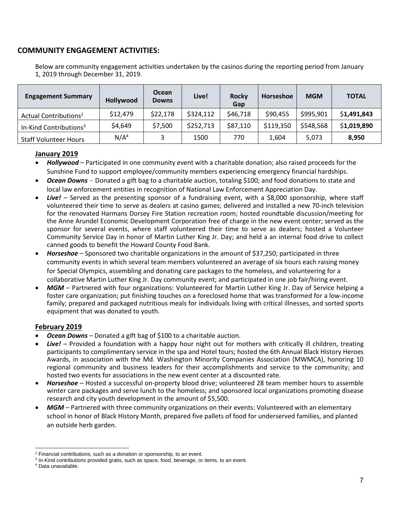# **COMMUNITY ENGAGEMENT ACTIVITIES:**

Below are community engagement activities undertaken by the casinos during the reporting period from January 1, 2019 through December 31, 2019.

| <b>Engagement Summary</b>          | Hollywood        | Ocean<br><b>Downs</b> | Live!     | <b>Rocky</b><br>Gap | Horseshoe | <b>MGM</b> | <b>TOTAL</b> |
|------------------------------------|------------------|-----------------------|-----------|---------------------|-----------|------------|--------------|
| Actual Contributions <sup>2</sup>  | \$12,479         | \$22,178              | \$324,112 | \$46,718            | \$90,455  | \$995,901  | \$1,491,843  |
| In-Kind Contributions <sup>3</sup> | \$4,649          | \$7,500               | \$252,713 | \$87,110            | \$119,350 | \$548,568  | \$1,019,890  |
| <b>Staff Volunteer Hours</b>       | N/A <sup>4</sup> |                       | 1500      | 770                 | 1,604     | 5,073      | 8,950        |

# **January 2019**

- *Hollywood* Participated in one community event with a charitable donation; also raised proceeds for the Sunshine Fund to support employee/community members experiencing emergency financial hardships.
- *Ocean Downs* Donated a gift bag to a charitable auction, totaling \$100; and food donations to state and local law enforcement entities in recognition of National Law Enforcement Appreciation Day.
- Live! Served as the presenting sponsor of a fundraising event, with a \$8,000 sponsorship, where staff volunteered their time to serve as dealers at casino games; delivered and installed a new 70-inch television for the renovated Harmans Dorsey Fire Station recreation room; hosted roundtable discussion/meeting for the Anne Arundel Economic Development Corporation free of charge in the new event center; served as the sponsor for several events, where staff volunteered their time to serve as dealers; hosted a Volunteer Community Service Day in honor of Martin Luther King Jr. Day; and held a an internal food drive to collect canned goods to benefit the Howard County Food Bank.
- *Horseshoe* Sponsored two charitable organizations in the amount of \$37,250; participated in three community events in which several team members volunteered an average of six hours each raising money for Special Olympics, assembling and donating care packages to the homeless, and volunteering for a collaborative Martin Luther King Jr. Day community event; and participated in one job fair/hiring event.
- *MGM*  Partnered with four organizations: Volunteered for Martin Luther King Jr. Day of Service helping a foster care organization; put finishing touches on a foreclosed home that was transformed for a low-income family; prepared and packaged nutritious meals for individuals living with critical illnesses, and sorted sports equipment that was donated to youth.

# **February 2019**

- *Ocean Downs –* Donated a gift bag of \$100 to a charitable auction.
- *Live!* Provided a foundation with a happy hour night out for mothers with critically ill children, treating participants to complimentary service in the spa and Hotel tours; hosted the 6th Annual Black History Heroes Awards, in association with the Md. Washington Minority Companies Association (MWMCA), honoring 10 regional community and business leaders for their accomplishments and service to the community; and hosted two events for associations in the new event center at a discounted rate.
- *Horseshoe*  Hosted a successful on-property blood drive; volunteered 28 team member hours to assemble winter care packages and serve lunch to the homeless; and sponsored local organizations promoting disease research and city youth development in the amount of \$5,500.
- *MGM –* Partnered with three community organizations on their events: Volunteered with an elementary school in honor of Black History Month, prepared five pallets of food for underserved families, and planted an outside herb garden.

 $\overline{a}$ <sup>2</sup> Financial contributions, such as a donation or sponsorship, to an event.

<sup>&</sup>lt;sup>3</sup> In-Kind contributions provided gratis, such as space, food, beverage, or items, to an event.

<sup>4</sup> Data unavailable.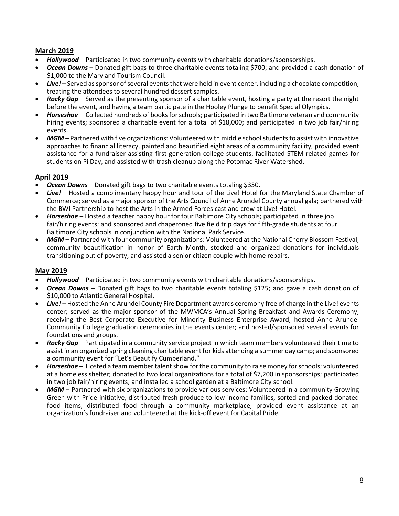# **March 2019**

- *Hollywood* Participated in two community events with charitable donations/sponsorships.
- *Ocean Downs* Donated gift bags to three charitable events totaling \$700; and provided a cash donation of \$1,000 to the Maryland Tourism Council.
- Live! Served as sponsor of several events that were held in event center, including a chocolate competition, treating the attendees to several hundred dessert samples.
- *Rocky Gap* Served as the presenting sponsor of a charitable event, hosting a party at the resort the night before the event, and having a team participate in the Hooley Plunge to benefit Special Olympics.
- *Horseshoe –* Collected hundreds of books for schools; participated in two Baltimore veteran and community hiring events; sponsored a charitable event for a total of \$18,000; and participated in two job fair/hiring events.
- *MGM* Partnered with five organizations: Volunteered with middle school students to assist with innovative approaches to financial literacy, painted and beautified eight areas of a community facility, provided event assistance for a fundraiser assisting first-generation college students, facilitated STEM-related games for students on Pi Day, and assisted with trash cleanup along the Potomac River Watershed.

# **April 2019**

- *Ocean Downs* Donated gift bags to two charitable events totaling \$350.
- *Live!* Hosted a complimentary happy hour and tour of the Live! Hotel for the Maryland State Chamber of Commerce; served as a major sponsor of the Arts Council of Anne Arundel County annual gala; partnered with the BWI Partnership to host the Arts in the Armed Forces cast and crew at Live! Hotel.
- *Horseshoe –* Hosted a teacher happy hour for four Baltimore City schools; participated in three job fair/hiring events; and sponsored and chaperoned five field trip days for fifth-grade students at four Baltimore City schools in conjunction with the National Park Service.
- MGM Partnered with four community organizations: Volunteered at the National Cherry Blossom Festival, community beautification in honor of Earth Month, stocked and organized donations for individuals transitioning out of poverty, and assisted a senior citizen couple with home repairs.

# **May 2019**

- *Hollywood –* Participated in two community events with charitable donations/sponsorships.
- *Ocean Downs –* Donated gift bags to two charitable events totaling \$125; and gave a cash donation of \$10,000 to Atlantic General Hospital.
- *Live! –* Hosted the Anne Arundel County Fire Department awards ceremony free of charge in the Live! events center; served as the major sponsor of the MWMCA's Annual Spring Breakfast and Awards Ceremony, receiving the Best Corporate Executive for Minority Business Enterprise Award; hosted Anne Arundel Community College graduation ceremonies in the events center; and hosted/sponsored several events for foundations and groups.
- *Rocky Gap* Participated in a community service project in which team members volunteered their time to assist in an organized spring cleaning charitable event for kids attending a summer day camp; and sponsored a community event for "Let's Beautify Cumberland."
- *Horseshoe –* Hosted a team member talent show for the community to raise money for schools; volunteered at a homeless shelter; donated to two local organizations for a total of \$7,200 in sponsorships; participated in two job fair/hiring events; and installed a school garden at a Baltimore City school.
- *MGM –* Partnered with six organizations to provide various services: Volunteered in a community Growing Green with Pride initiative, distributed fresh produce to low-income families, sorted and packed donated food items, distributed food through a community marketplace, provided event assistance at an organization's fundraiser and volunteered at the kick-off event for Capital Pride.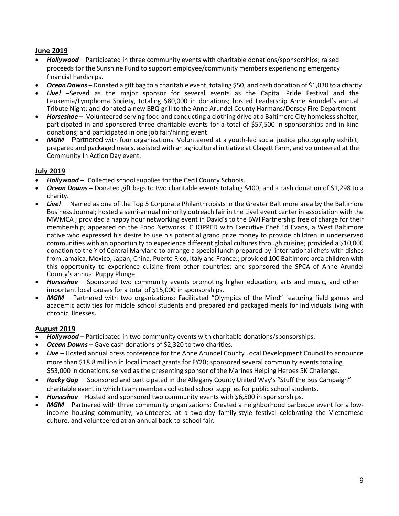# **June 2019**

- *Hollywood –* Participated in three community events with charitable donations/sponsorships; raised proceeds for the Sunshine Fund to support employee/community members experiencing emergency financial hardships.
- *Ocean Downs –* Donated a gift bag to a charitable event, totaling \$50; and cash donation of \$1,030 to a charity.
- *Live!* –Served as the major sponsor for several events as the Capital Pride Festival and the Leukemia/Lymphoma Society, totaling \$80,000 in donations; hosted Leadership Anne Arundel's annual Tribute Night; and donated a new BBQ grill to the Anne Arundel County Harmans/Dorsey Fire Department
- *Horseshoe –* Volunteered serving food and conducting a clothing drive at a Baltimore City homeless shelter; participated in and sponsored three charitable events for a total of \$57,500 in sponsorships and in-kind donations; and participated in one job fair/hiring event.
- *MGM* Partnered with four organizations: Volunteered at a youth-led social justice photography exhibit, prepared and packaged meals, assisted with an agricultural initiative at Clagett Farm, and volunteered at the Community In Action Day event.

# **July 2019**

- *Hollywood –* Collected school supplies for the Cecil County Schools.
- *Ocean Downs –* Donated gift bags to two charitable events totaling \$400; and a cash donation of \$1,298 to a charity.
- *Live!* Named as one of the Top 5 Corporate Philanthropists in the Greater Baltimore area by the Baltimore Business Journal; hosted a semi-annual minority outreach fair in the Live! event center in association with the MWMCA ; provided a happy hour networking event in David's to the BWI Partnership free of charge for their membership; appeared on the Food Networks' CHOPPED with Executive Chef Ed Evans, a West Baltimore native who expressed his desire to use his potential grand prize money to provide children in underserved communities with an opportunity to experience different global cultures through cuisine; provided a \$10,000 donation to the Y of Central Maryland to arrange a special lunch prepared by international chefs with dishes from Jamaica, Mexico, Japan, China, Puerto Rico, Italy and France.; provided 100 Baltimore area children with this opportunity to experience cuisine from other countries; and sponsored the SPCA of Anne Arundel County's annual Puppy Plunge.
- *Horseshoe –* Sponsored two community events promoting higher education, arts and music, and other important local causes for a total of \$15,000 in sponsorships.
- MGM Partnered with two organizations: Facilitated "Olympics of the Mind" featuring field games and academic activities for middle school students and prepared and packaged meals for individuals living with chronic illnesses*.*

# **August 2019**

- *Hollywood –* Participated in two community events with charitable donations/sponsorships.
- *Ocean Downs –* Gave cash donations of \$2,320 to two charities.
- *Live –* Hosted annual press conference for the Anne Arundel County Local Development Council to announce more than \$18.8 million in local impact grants for FY20; sponsored several community events totaling \$53,000 in donations; served as the presenting sponsor of the Marines Helping Heroes 5K Challenge.
- *Rocky Gap* Sponsored and participated in the Allegany County United Way's "Stuff the Bus Campaign" charitable event in which team members collected school supplies for public school students.
- *Horseshoe –* Hosted and sponsored two community events with \$6,500 in sponsorships.
- *MGM* Partnered with three community organizations: Created a neighborhood barbecue event for a lowincome housing community, volunteered at a two-day family-style festival celebrating the Vietnamese culture, and volunteered at an annual back-to-school fair.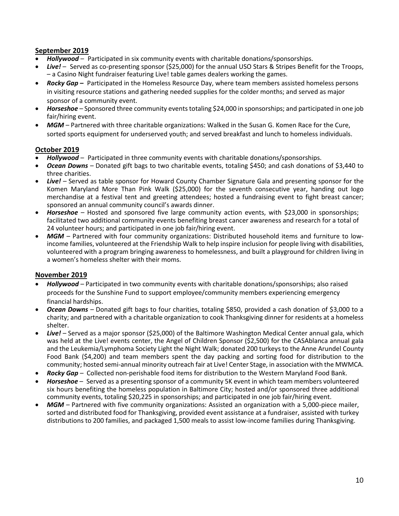# **September 2019**

- *Hollywood –* Participated in six community events with charitable donations/sponsorships.
- *Live!* Served as co-presenting sponsor (\$25,000) for the annual USO Stars & Stripes Benefit for the Troops, – a Casino Night fundraiser featuring Live! table games dealers working the games.
- *Rocky Gap –* Participated in the Homeless Resource Day, where team members assisted homeless persons in visiting resource stations and gathering needed supplies for the colder months; and served as major sponsor of a community event.
- *Horseshoe –* Sponsored three community events totaling \$24,000 in sponsorships; and participated in one job fair/hiring event.
- *MGM –* Partnered with three charitable organizations: Walked in the Susan G. Komen Race for the Cure, sorted sports equipment for underserved youth; and served breakfast and lunch to homeless individuals.

# **October 2019**

- *Hollywood –* Participated in three community events with charitable donations/sponsorships.
- *Ocean Downs –* Donated gift bags to two charitable events, totaling \$450; and cash donations of \$3,440 to three charities.
- *Live! –* Served as table sponsor for Howard County Chamber Signature Gala and presenting sponsor for the Komen Maryland More Than Pink Walk (\$25,000) for the seventh consecutive year, handing out logo merchandise at a festival tent and greeting attendees; hosted a fundraising event to fight breast cancer; sponsored an annual community council's awards dinner.
- *Horseshoe –* Hosted and sponsored five large community action events, with \$23,000 in sponsorships; facilitated two additional community events benefiting breast cancer awareness and research for a total of 24 volunteer hours; and participated in one job fair/hiring event.
- *MGM* Partnered with four community organizations: Distributed household items and furniture to lowincome families, volunteered at the Friendship Walk to help inspire inclusion for people living with disabilities, volunteered with a program bringing awareness to homelessness, and built a playground for children living in a women's homeless shelter with their moms.

# **November 2019**

- *Hollywood –* Participated in two community events with charitable donations/sponsorships; also raised proceeds for the Sunshine Fund to support employee/community members experiencing emergency financial hardships.
- *Ocean Downs –* Donated gift bags to four charities, totaling \$850, provided a cash donation of \$3,000 to a charity; and partnered with a charitable organization to cook Thanksgiving dinner for residents at a homeless shelter.
- *Live! –* Served as a major sponsor (\$25,000) of the Baltimore Washington Medical Center annual gala, which was held at the Live! events center, the Angel of Children Sponsor (\$2,500) for the CASAblanca annual gala and the Leukemia/Lymphoma Society Light the Night Walk; donated 200 turkeys to the Anne Arundel County Food Bank (\$4,200) and team members spent the day packing and sorting food for distribution to the community; hosted semi-annual minority outreach fair at Live! Center Stage, in association with the MWMCA.
- *Rocky Gap –* Collected non-perishable food items for distribution to the Western Maryland Food Bank.
- *Horseshoe –* Served as a presenting sponsor of a community 5K event in which team members volunteered six hours benefiting the homeless population in Baltimore City; hosted and/or sponsored three additional community events, totaling \$20,225 in sponsorships; and participated in one job fair/hiring event.
- *MGM –* Partnered with five community organizations: Assisted an organization with a 5,000-piece mailer, sorted and distributed food for Thanksgiving, provided event assistance at a fundraiser, assisted with turkey distributions to 200 families, and packaged 1,500 meals to assist low-income families during Thanksgiving.